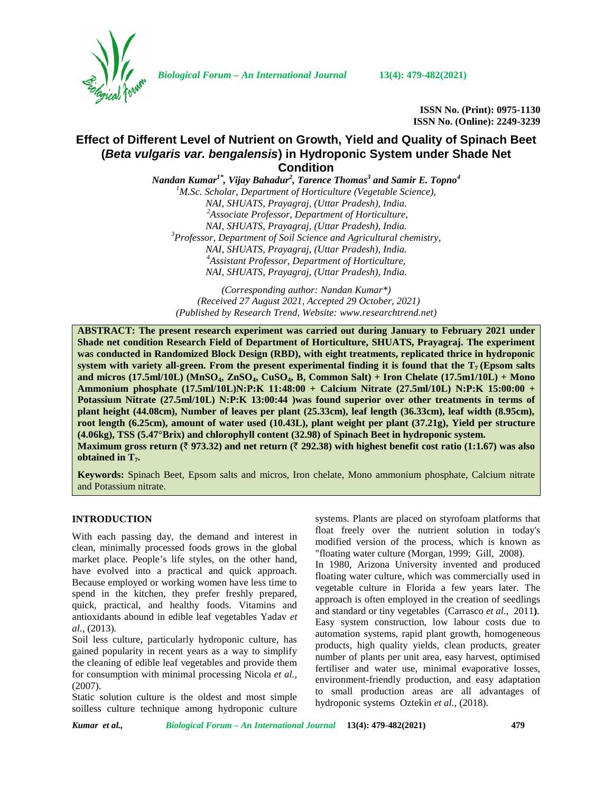

*Biological Forum – An International Journal* **13(4): 479-482(2021)**

**ISSN No. (Print): 0975-1130 ISSN No. (Online): 2249-3239**

# **Effect of Different Level of Nutrient on Growth, Yield and Quality of Spinach Beet (***Beta vulgaris var. bengalensis***) in Hydroponic System under Shade Net Condition**

*Nandan Kumar1\* , Vijay Bahadur<sup>2</sup> , Tarence Thomas<sup>3</sup> and Samir E. Topno<sup>4</sup> <sup>1</sup>M.Sc. Scholar, Department of Horticulture (Vegetable Science), NAI, SHUATS, Prayagraj, (Uttar Pradesh), India. <sup>2</sup>Associate Professor, Department of Horticulture, NAI, SHUATS, Prayagraj, (Uttar Pradesh), India. <sup>3</sup>Professor, Department of Soil Science and Agricultural chemistry, NAI, SHUATS, Prayagraj, (Uttar Pradesh), India. <sup>4</sup>Assistant Professor, Department of Horticulture, NAI, SHUATS, Prayagraj, (Uttar Pradesh), India.*

*(Corresponding author: Nandan Kumar\*) (Received 27 August 2021, Accepted 29 October, 2021) (Published by Research Trend, Website: [www.researchtrend.net\)](www.researchtrend.net)*

**ABSTRACT: The present research experiment was carried out during January to February 2021 under Shade net condition Research Field of Department of Horticulture, SHUATS, Prayagraj. The experiment was conducted in Randomized Block Design (RBD), with eight treatments, replicated thrice in hydroponic system with variety all-green. From the present experimental finding it is found that the**  $T_7$  **(Epsom salts and micros (17.5ml/10L) (MnSO4, ZnSO4, CuSO4, B, Common Salt) + Iron Chelate (17.5m1/10L) + Mono Ammonium phosphate (17.5ml/10L)N:P:K 11:48:00 + Calcium Nitrate (27.5ml/10L) N:P:K 15:00:00 + Potassium Nitrate (27.5ml/10L) N:P:K 13:00:44 )was found superior over other treatments in terms of plant height (44.08cm), Number of leaves per plant (25.33cm), leaf length (36.33cm), leaf width (8.95cm), root length (6.25cm), amount of water used (10.43L), plant weight per plant (37.21g), Yield per structure (4.06kg), TSS (5.47°Brix) and chlorophyll content (32.98) of Spinach Beet in hydroponic system. Maximum gross return (** $\bar{\tau}$  **973.32) and net return (** $\bar{\tau}$  **292.38) with highest benefit cost ratio (1:1.67) was also obtained in T7.**

**Keywords:** Spinach Beet, Epsom salts and micros, Iron chelate, Mono ammonium phosphate, Calcium nitrate and Potassium nitrate.

## **INTRODUCTION**

With each passing day, the demand and interest in clean, minimally processed foods grows in the global market place. People's life styles, on the other hand, have evolved into a practical and quick approach. Because employed or working women have less time to spend in the kitchen, they prefer freshly prepared, quick, practical, and healthy foods. Vitamins and antioxidants abound in edible leaf vegetables Yadav *et al.,* (2013)*.*

Soil less culture, particularly hydroponic culture, has gained popularity in recent years as a way to simplify the cleaning of edible leaf vegetables and provide them for consumption with minimal processing Nicola *et al.,* (2007).

Static solution culture is the oldest and most simple soilless culture technique among hydroponic culture systems. Plants are placed on styrofoam platforms that float freely over the nutrient solution in today's modified version of the process, which is known as "floating water culture (Morgan*,* 1999; Gill, 2008).

In 1980, Arizona University invented and produced floating water culture, which was commercially used in vegetable culture in Florida a few years later. The approach is often employed in the creation of seedlings and standard or tiny vegetables (Carrasco *et al*., 2011**)**. Easy system construction, low labour costs due to automation systems, rapid plant growth, homogeneous products, high quality yields, clean products, greater number of plants per unit area, easy harvest, optimised fertiliser and water use, minimal evaporative losses, environment-friendly production, and easy adaptation to small production areas are all advantages of hydroponic systems Oztekin *et al.,* (2018).

*Kumar et al., Biological Forum – An International Journal* **13(4): 479-482(2021) 479**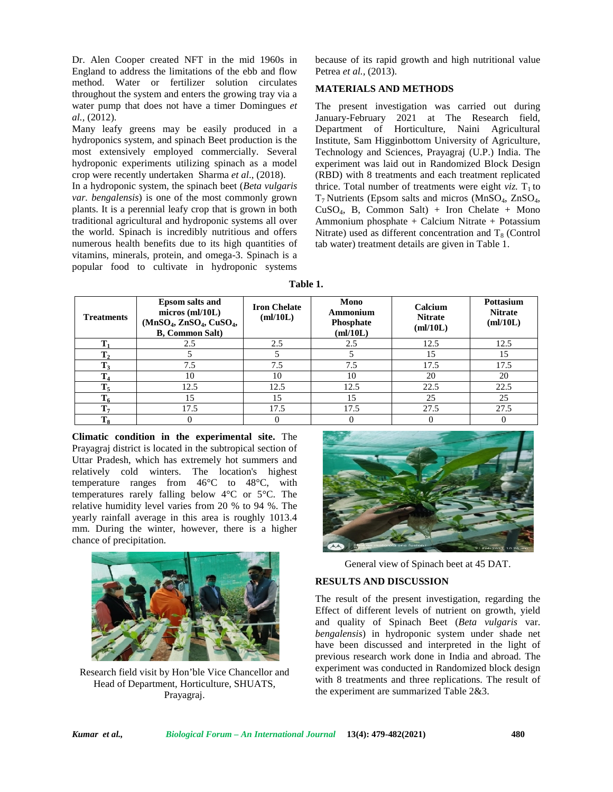Dr. Alen Cooper created NFT in the mid 1960s in England to address the limitations of the ebb and flow method. Water or fertilizer solution circulates throughout the system and enters the growing tray via a water pump that does not have a timer Domingues *et al.,* (2012).

Many leafy greens may be easily produced in a hydroponics system, and spinach Beet production is the most extensively employed commercially. Several hydroponic experiments utilizing spinach as a model crop were recently undertaken Sharma *et al*., (2018).

In a hydroponic system, the spinach beet (*Beta vulgaris var. bengalensis*) is one of the most commonly grown plants. It is a perennial leafy crop that is grown in both traditional agricultural and hydroponic systems all over the world. Spinach is incredibly nutritious and offers numerous health benefits due to its high quantities of vitamins, minerals, protein, and omega-3. Spinach is a popular food to cultivate in hydroponic systems

because of its rapid growth and high nutritional value Petrea *et al.,* (2013).

## **MATERIALS AND METHODS**

The present investigation was carried out during January-February 2021 at The Research field, Department of Horticulture, Naini Agricultural Institute, Sam Higginbottom University of Agriculture, Technology and Sciences, Prayagraj (U.P.) India. The experiment was laid out in Randomized Block Design (RBD) with 8 treatments and each treatment replicated thrice. Total number of treatments were eight *viz*.  $T_1$  to  $T_7$  Nutrients (Epsom salts and micros (MnSO<sub>4</sub>, ZnSO<sub>4</sub>,  $CuSO<sub>4</sub>$ , B, Common Salt) + Iron Chelate + Mono Ammonium phosphate + Calcium Nitrate + Potassium Nitrate) used as different concentration and  $T_8$  (Control tab water) treatment details are given in Table 1.

| Table 1. |  |
|----------|--|
|----------|--|

| <b>Treatments</b> | <b>Epsom salts and</b><br>$micros$ (ml/10L)<br>$(MnSO4, ZnSO4, CuSO4)$<br><b>B</b> , Common Salt) | <b>Iron Chelate</b><br>m!/10L | Mono<br>Ammonium<br>Phosphate<br>m!/10L | Calcium<br><b>Nitrate</b><br>m!/10L | <b>Pottasium</b><br><b>Nitrate</b><br>m!/10L |
|-------------------|---------------------------------------------------------------------------------------------------|-------------------------------|-----------------------------------------|-------------------------------------|----------------------------------------------|
| m                 | 2.5                                                                                               | 2.5                           | 2.5                                     | 12.5                                | 12.5                                         |
| m                 |                                                                                                   |                               |                                         | ۱5                                  | 15                                           |
|                   | 7.5                                                                                               | 7.5                           | 7.5                                     | 17.5                                | 17.5                                         |
| m                 | 10                                                                                                | 10                            | 10                                      | 20                                  | 20                                           |
| m                 | 12.5                                                                                              | 12.5                          | 12.5                                    | 22.5                                | 22.5                                         |
|                   | 15                                                                                                | 15                            | 15                                      | 25                                  | 25                                           |
| m                 | 17.5                                                                                              | 17.5                          | 17.5                                    | 27.5                                | 27.5                                         |
| m                 |                                                                                                   | $\theta$                      |                                         |                                     |                                              |

**Climatic condition in the experimental site.** The Prayagraj district is located in the subtropical section of Uttar Pradesh, which has extremely hot summers and relatively cold winters. The location's highest temperature ranges from 46°C to 48°C, with temperatures rarely falling below 4°C or 5°C. The relative humidity level varies from 20 % to 94 %. The yearly rainfall average in this area is roughly 1013.4 mm. During the winter, however, there is a higher chance of precipitation.



Research field visit by Hon'ble Vice Chancellor and Head of Department, Horticulture, SHUATS, Prayagraj.



General view of Spinach beet at 45 DAT.

## **RESULTS AND DISCUSSION**

The result of the present investigation, regarding the Effect of different levels of nutrient on growth, yield and quality of Spinach Beet (*Beta vulgaris* var. *bengalensis*) in hydroponic system under shade net have been discussed and interpreted in the light of previous research work done in India and abroad. The experiment was conducted in Randomized block design with 8 treatments and three replications. The result of the experiment are summarized Table 2&3.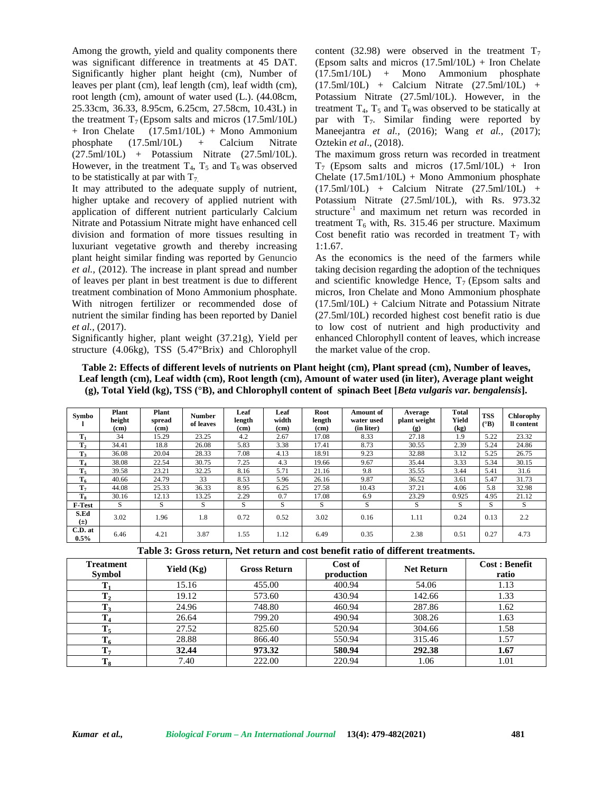Among the growth, yield and quality components there was significant difference in treatments at 45 DAT. Significantly higher plant height (cm), Number of leaves per plant (cm), leaf length (cm), leaf width (cm), root length (cm), amount of water used (L.). (44.08cm, 25.33cm, 36.33, 8.95cm, 6.25cm, 27.58cm, 10.43L) in the treatment  $T_7$  (Epsom salts and micros (17.5ml/10L) + Iron Chelate (17.5m1/10L) + Mono Ammonium phosphate (17.5ml/10L) + Calcium Nitrate (27.5ml/10L) + Potassium Nitrate (27.5ml/10L). However, in the treatment  $T_4$ ,  $T_5$  and  $T_6$  was observed to be statistically at par with  $T_7$ .

It may attributed to the adequate supply of nutrient, higher uptake and recovery of applied nutrient with application of different nutrient particularly Calcium Nitrate and Potassium Nitrate might have enhanced cell division and formation of more tissues resulting in luxuriant vegetative growth and thereby increasing plant height similar finding was reported by Genuncio *et al.,* (2012). The increase in plant spread and number of leaves per plant in best treatment is due to different treatment combination of Mono Ammonium phosphate. With nitrogen fertilizer or recommended dose of nutrient the similar finding has been reported by Daniel *et al.,* (2017).

Significantly higher, plant weight (37.21g), Yield per structure (4.06kg), TSS (5.47°Brix) and Chlorophyll

content (32.98) were observed in the treatment  $T_7$ (Epsom salts and micros  $(17.5 \text{ml}/10 \text{L})$  + Iron Chelate (17.5m1/10L) + Mono Ammonium phosphate (17.5ml/10L) + Calcium Nitrate (27.5ml/10L) + Potassium Nitrate (27.5ml/10L). However, in the treatment  $T_4$ ,  $T_5$  and  $T_6$  was observed to be statically at par with  $T_7$ . Similar finding were reported by Maneejantra *et al.,* (2016); Wang *et al.,* (2017); Oztekin *et al*., (2018).

The maximum gross return was recorded in treatment  $T_7$  (Epsom salts and micros (17.5ml/10L) + Iron Chelate (17.5m1/10L) + Mono Ammonium phosphate (17.5ml/10L) + Calcium Nitrate (27.5ml/10L) + Potassium Nitrate (27.5ml/10L), with Rs. 973.32 structure<sup>-1</sup> and maximum net return was recorded in treatment  $T_6$  with, Rs. 315.46 per structure. Maximum Cost benefit ratio was recorded in treatment  $T_7$  with 1:1.67.

As the economics is the need of the farmers while taking decision regarding the adoption of the techniques and scientific knowledge Hence,  $T_7$  (Epsom salts and micros, Iron Chelate and Mono Ammonium phosphate  $(17.5 \text{ml}/10 \text{L}) + \text{Calcium Nitrate}$  and Potassium Nitrate (27.5ml/10L) recorded highest cost benefit ratio is due to low cost of nutrient and high productivity and enhanced Chlorophyll content of leaves, which increase the market value of the crop.

### **Table 2: Effects of different levels of nutrients on Plant height (cm), Plant spread (cm), Number of leaves, Leaf length (cm), Leaf width (cm), Root length (cm), Amount of water used (in liter), Average plant weight (g), Total Yield (kg), TSS (°B),and Chlorophyll content of spinach Beet [***Beta vulgaris var. bengalensis***].**

| Symbo           | Plant<br>height<br>(c <sub>m</sub> ) | Plant<br>spread<br>(cm) | <b>Number</b><br>of leaves | Leaf<br>length<br>(c <sub>m</sub> ) | Leaf<br>width<br>(cm) | Root<br>length<br>(cm) | Amount of<br>water used<br>(in liter) | Average<br>plant weight<br>$\left( \mathbf{g} \right)$ | <b>Total</b><br>Yield<br>(kg) | <b>TSS</b><br>$({}^{\circ}B)$ | Chlorophy<br>Il content |
|-----------------|--------------------------------------|-------------------------|----------------------------|-------------------------------------|-----------------------|------------------------|---------------------------------------|--------------------------------------------------------|-------------------------------|-------------------------------|-------------------------|
| $T_1$           | 34                                   | 15.29                   | 23.25                      | 4.2                                 | 2.67                  | 17.08                  | 8.33                                  | 27.18                                                  | 1.9                           | 5.22                          | 23.32                   |
| T <sub>2</sub>  | 34.41                                | 18.8                    | 26.08                      | 5.83                                | 3.38                  | 17.41                  | 8.73                                  | 30.55                                                  | 2.39                          | 5.24                          | 24.86                   |
| $T_3$           | 36.08                                | 20.04                   | 28.33                      | 7.08                                | 4.13                  | 18.91                  | 9.23                                  | 32.88                                                  | 3.12                          | 5.25                          | 26.75                   |
| $T_4$           | 38.08                                | 22.54                   | 30.75                      | 7.25                                | 4.3                   | 19.66                  | 9.67                                  | 35.44                                                  | 3.33                          | 5.34                          | 30.15                   |
| $T_5$           | 39.58                                | 23.21                   | 32.25                      | 8.16                                | 5.71                  | 21.16                  | 9.8                                   | 35.55                                                  | 3.44                          | 5.41                          | 31.6                    |
| $T_6$           | 40.66                                | 24.79                   | 33                         | 8.53                                | 5.96                  | 26.16                  | 9.87                                  | 36.52                                                  | 3.61                          | 5.47                          | 31.73                   |
| T <sub>7</sub>  | 44.08                                | 25.33                   | 36.33                      | 8.95                                | 6.25                  | 27.58                  | 10.43                                 | 37.21                                                  | 4.06                          | 5.8                           | 32.98                   |
| $T_8$           | 30.16                                | 12.13                   | 13.25                      | 2.29                                | 0.7                   | 17.08                  | 6.9                                   | 23.29                                                  | 0.925                         | 4.95                          | 21.12                   |
| F-Test          | S                                    | S                       | S                          | S                                   | S                     | S                      | S                                     | S                                                      | S                             | S                             | S                       |
| S.Ed<br>$(\pm)$ | 3.02                                 | 1.96                    | 1.8                        | 0.72                                | 0.52                  | 3.02                   | 0.16                                  | 1.11                                                   | 0.24                          | 0.13                          | 2.2                     |
| C.D. at<br>0.5% | 6.46                                 | 4.21                    | 3.87                       | 1.55                                | 1.12                  | 6.49                   | 0.35                                  | 2.38                                                   | 0.51                          | 0.27                          | 4.73                    |

**Table 3: Gross return, Net return and cost benefit ratio of different treatments.**

| <b>Treatment</b><br><b>Symbol</b> | Yield $(Kg)$ | <b>Gross Return</b> | Cost of<br>production | <b>Net Return</b> | <b>Cost: Benefit</b><br>ratio |
|-----------------------------------|--------------|---------------------|-----------------------|-------------------|-------------------------------|
|                                   | 15.16        | 455.00              | 400.94                | 54.06             | 1.13                          |
| $\mathbf{T_{2}}$                  | 19.12        | 573.60              | 430.94                | 142.66            | 1.33                          |
| $\mathbf{T}_3$                    | 24.96        | 748.80              | 460.94                | 287.86            | 1.62                          |
| L 4                               | 26.64        | 799.20              | 490.94                | 308.26            | 1.63                          |
| $\mathbf{T}_5$                    | 27.52        | 825.60              | 520.94                | 304.66            | 1.58                          |
|                                   | 28.88        | 866.40              | 550.94                | 315.46            | 1.57                          |
| T <sub>7</sub>                    | 32.44        | 973.32              | 580.94                | 292.38            | 1.67                          |
| L یو                              | 7.40         | 222.00              | 220.94                | 1.06              | 1.01                          |